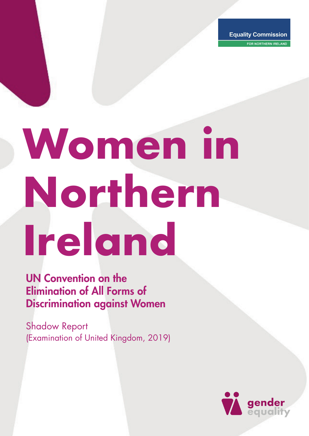FOR NORTHERN IRELAND

# **Women in Northern Ireland**

UN Convention on the Elimination of All Forms of Discrimination against Women

Shadow Report (Examination of United Kingdom, 2019)

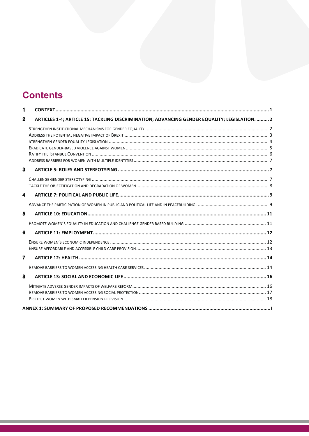### **Contents**

| 2 | ARTICLES 1-4; ARTICLE 15: TACKLING DISCRIMINATION; ADVANCING GENDER EQUALITY; LEGISLATION.  2 |  |
|---|-----------------------------------------------------------------------------------------------|--|
|   |                                                                                               |  |
|   |                                                                                               |  |
|   |                                                                                               |  |
|   |                                                                                               |  |
|   |                                                                                               |  |
|   |                                                                                               |  |
|   |                                                                                               |  |
| 6 |                                                                                               |  |
|   |                                                                                               |  |
|   |                                                                                               |  |
|   |                                                                                               |  |
|   |                                                                                               |  |
|   |                                                                                               |  |
|   |                                                                                               |  |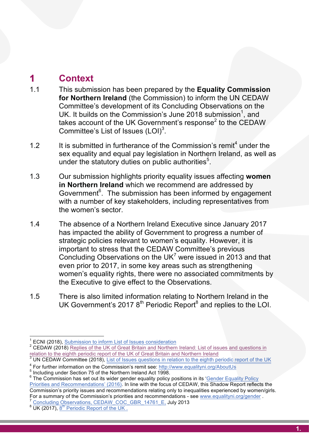## **for Northern Ireland is a context** to information of  $\mathbf{r}$  in  $\mathbf{r}$  is a context of  $\mathbf{r}$  in  $\mathbf{r}$  is a context of  $\mathbf{r}$  is a context of  $\mathbf{r}$  is a context of  $\mathbf{r}$  is a context of  $\mathbf{r}$  is a conte

- **under-attains of the Committee's Committee's**<br>1.1 This submission has been prepared by the **Equality Commission** Committee's development of its Concluding Observations on the<br>UK. It builds on the Commission's June 2018 submission<sup>1</sup>, and **including the curriculum teacher training the curriculum of the curriculum of the curriculum of the curriculum of the curriculum of the curriculum of the curriculum of the curriculum of the curriculum of the curriculum of** 1.1 This submission has been prepared by the **Equality Commission for Northern Ireland** (the Commission) to inform the UN CEDAW *for Northern* Committee's development of its Concluding Observations on the takes account of the UK Government's response<sup>2</sup> to the CEDAW Sex equal pay legislation in Northern III and the Northern III and the Northern III and the Northern III and the Northern III and the Northern III and the Northern III and the Northern III and the Northern III and the Nort
- sex equality and equal pay legislation in Northern Ireland, as well as<br>under the statutory duties on public authorities<sup>5</sup>. under the statutory of public authorities under the statutory duties on public authorities<sup>5</sup>. 1.2 It is submitted in furtherance of the Commission's remit<sup>4</sup> under the
- 1.3 Cur submission highlights priority equality issues affecting women<br>**in Northern Ireland** which we recommend are addressed by with a number of key stakeholders, including representatives from<br>the women's sector. Government6 . The submission has been informed by engagement 1.3 Our submission highlights priority equality issues affecting **women** in Northern Ireland which we recommend are addressed by the women's sector. The ability of Government to progress a number of  $\mathbb{R}$ Government<sup>6</sup>. The submission has been informed by engagement
	- strategic policies relevant to women's equality. However, it is 1.4 The absence of a Northern Ireland Executive since January 2017 has impacted the ability of Government to progress a number of strategic policies relevant to women's equality. However, it is  $\mu$  m portant to stress that the GEDAVV Committee s previous Concluding Observations on the UK<sup>7</sup> were issued in 2013 and that women's equality rights, there were no associated commitments by the Executive to give effect to the Observations. important to stress that the CEDAW Committee's previous even prior to 2017, in some key areas such as strengthening
- 1.5 There is also limited information relating to Northern Ireland in the UK Government's 2017  $8<sup>th</sup>$  Periodic Report $<sup>8</sup>$  and replies to the LOI.</sup>

For a summary of the Commission's priorities and recommendations - see www.equalityni.org/gender . <sup>7</sup> Concluding Observations, CEDAW\_COC\_GBR\_14761\_E, July 2013 8 UK (2017), 8th Periodic Report of the UK .

Concluding Observations, CEDAW COC GBR 14761 E, July 2013

*Letting Children be Children, Report of an Independent Review of the Commercialisation and sexualisation of childhood* Bailey, R (2011) 3

relation to the eighth periodic report of the UK of Great Britain and Northern Ireland <sup>3</sup> UN CEDAW Committee (2018), List of Issues questions in relation to the eighth periodic report of the UK ECNI (2018), Submission to inform List of Issues consideration

<sup>&</sup>lt;sup>1</sup> ECNI (2018), <u>Submission to inform List of Issues consideration</u><br><sup>2</sup> CEDAW (2018) <u>Replies of the UK of Great Britain and Northern Ireland: List of issues and questions in</u>

relation to the eighth periodic report of the UK of Great Britain and Northern Ireland<br><sup>3</sup> UN CEDAW Committee (2018), <u>List of Issues questions in relation to the eighth periodic report of the UK</u> <sup>4</sup> For further information on the Commission's remit see: http://www.equalityni.org/AboutUs<br><sup>5</sup> Including under Section 75 of the Northern Ireland Act 1998.

 $<sup>5</sup>$  Including under Section 75 of the Northern Ireland Act 1998.</sup>

<sup>&</sup>lt;sup>6</sup> The Commission has set out its wider gender equality policy positions in its '<u>Gender Equality Policy</u><br>Priorities and Recommendations' (2016). In line with the focus of CEDAW, this Shadow Report reflects the Priorities and Recommendations' (2016). In line with the focus of CEDAW, this Shadow Report reflects the Commission's priority issues and recommendations relating only to inequalities experienced by women/girls.<br>For a summary of the Commission's priorities and recommendations - see www.equalityni.org/gender. For a summary of the Commission's priorities and recommendations - see www.equalityni.org/gender

 $8\overline{\textsf{UK}}$  (2017),  $8^{\text{th}}$  Periodic Report of the UK. Commission's priority issues and recommendations relating only to inequalities experienced by women/girls.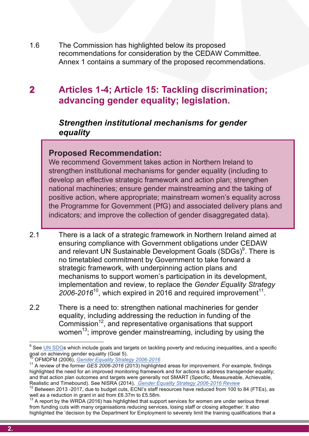**1.6** The Commission has highlighted below its proposed **commendations for consideration by the OLD WV committed.**<br>Annex 1 contains a summary of the proposed recommendations. 1.6 The Commission has highlighted below its proposed recommendations for consideration by the CEDAW Committee. Annex 1 contains a summary of the proposed recommendations.

#### **under-**<br>**under-attainment of the bullying of the bullying discrimination; Action is required to tackle gender inequalities and stereotyping 2 Articles 1-4; Article 15: Tackling discrimination; advancing gender equality; legislation.**

#### **including the curriculum teacher through the curriculum, the curriculum, subject choice,**  $\frac{1}{2}$ *Strengthen institutional mechanisms for gender equality*

#### **Proposed Recommendation:**

**Proposed Recommendation:**<br>We recommend Government takes action in Northern Ireland to develop an effective strategic framework and action plan; strengthen national machineries; ensure gender mainstreaming and the taking of We recommend Government takes action in Northern Ireland to strengthen institutional mechanisms for gender equality (including to national machineries; ensure gender mainstreaming and the taking of positive action, where appropriate; mainstream women's equality across Programme for Government (PfG) and associated delivery plans the Programme for Government (PfG) and associated delivery plans and indicators; and improve the collection of gender disaggregated data).

- ZOOO-ZOTO, WHICH EXPITED IN ZO TO AND TEQUITED IN PROVEMENT. 2.1 There is a lack of a strategic framework in Northern Ireland aimed at ensuring compliance with Government obligations under CEDAW and relevant UN Sustainable Development Goals (SDGs)<sup>9</sup>. There is no timetabled commitment by Government to take forward a strategic framework, with underpinning action plans and mechanisms to support women's participation in its development, implementation and review, to replace the *Gender Equality Strategy*   $2006 - 2016<sup>10</sup>$ , which expired in 2016 and required improvement<sup>11</sup>.
- 2.2 There is a need to: strengthen national machineries for gender women<sup>13</sup>; improve gender mainstreaming, including by using the equality, including addressing the reduction in funding of the  $Commission<sup>12</sup>$ , and representative organisations that support

goal on achieving gender equality (Goal 5).<br><sup>10</sup> OEMDEM (2006). *Gender Equality Strategy 2006-2016*. <sup>9</sup> See <u>UN SDG</u>s which include goals and targets on tackling poverty and reducing inequalities, and a specific goal on achieving gender equality (Goal 5).

OFMDFM (2006), Gender Equality Strategy 2006-2016

<sup>&</sup>lt;sup>11</sup> A review of the former *GES 2006-2016* (2013) highlighted areas for improvement. For example, findings highlighted the need for an improved monitoring framework and for actions to address transgender equality; and that action plan outcomes and targets were generally not SMART (Specific, Measureable, Achievable, Realistic and Timebound). See NISRA (2014), *Gender Equality Strategy 2006-2016 Review*

 $12$  Between 2013 -2017, due to budget cuts, ECNI's staff resources have reduced from 100 to 84 (FTEs), as well as a reduction in grant in aid from £6.37m to £5.58m.<br><sup>13</sup> A report by the WRDA (2016) has highlighted that support services for women are under serious threat

from funding cuts with many organisations reducing services, losing staff or closing altogether. It also highlighted the 'decision by the Department for Employment to severely limit the training qualifications that a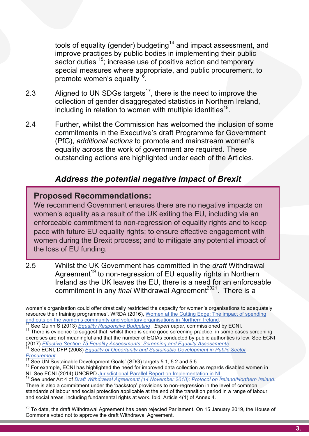tools of equality (gender) budgeting<sup>14</sup> and impact assessment, and external training and temporary<br>sector duties <sup>15</sup>; increase use of positive action and temporary<br>special measures where appropriate, and public procurement, to improve practices by public bodies in implementing their public special measures where appropriate, and public procurement, to promote women's equality<sup>16</sup>.

- promote women s equality...<br>2.3 Aligned to UN SDGs targets<sup>17</sup>, there is the need to improve the **Action is a general disaggregated stationed in Northern Instanta**, including in relation to women with multiple identities<sup>18</sup>. collection of gender disaggregated statistics in Northern Ireland,
- **including the committee of the curriculum** commitments in the Executive's draft Programme for Government<br>
(PfG) *additional actions* to promote and mainstream women's equality across the work of government are required. These<br>outstanding actions are highlighted under each of the Articles. 2.4 Further, whilst the Commission has welcomed the inclusion of some (PfG), *additional actions* to promote and mainstream women's equality across the work of government are required. These

# **and a address the potential negative impact of Brexit**

## Proposed Recommendation: **Proposed Recommendations:**

-

**bed Recommendations.**<br>mmend Government ensures there are no negative impacts on We recommend Government ensures there are no negative We recommend Government ensures there are no negative impacts on women's equality as a result of the UK exiting the EU, including via an enforceable commitment to non-regression of equality rights and to keep pace with future EU equality rights; to ensure effective engagement with to entity the effective ensure enter the engagement with the engagement with  $\sim$ process; and to mitigate any potential impact of the loss of EU funding  $\frac{1}{2}$ women during the Brexit process; and to mitigate any potential impact of the loss of EU funding.

women, for example, are understanding and mathematical ingleses in the mathematics (STEM) subjects in higher education 1 2.5 Whilst the UK Government has committed in the *draft* Withdrawal Agreement<sup>19</sup> to non-regression of EU equality rights in Northern Ireland as the UK leaves the EU, there is a need for an enforceable commitment in any *final* Withdrawal Agreement<sup>2021</sup>. There is a

and cuts on the women's community and voluntary organisations in Northern Ireland. <sup>14</sup> See Quinn S (2013) *Equality Responsive Budgeting , Expert paper*, commissioned by ECNI.

<sup>15</sup> There is evidence to suggest that, whilst there is some good screening practice, in some cases screening<br>everyones are not meaningful and that the number of FOIAs conducted by public outborities is low. See FONI (2017) Effective Section 75 Equality Assessments: Screening and Equality Assessments exercises are not meaningful and that the number of EQIAs conducted by public authorities is low. See ECNI

*Grasping the Nettle-State Children and Transferrences of General Indian Children and Transferrences of General* See McBride, R S. (2013). 5 and Transferrences of Transferrences of the S. (2013). 5 and Transferrences of th <sup>3</sup> See ECNI, DFP (2008) *Equality of Opportunity and Sustainable Development in Public Sector* Procurement<br><sup>17</sup> See UN Sustainable Development Goals' (SDG) targets 5.1, 5.2 and 5.5.

- $^{17}$  See UN Sustainable Development Goals' (SDG) targets 5.1, 5.2 and 5.5.<br><sup>18</sup> For example, ECNI has highlighted the need for improved data collection as regards disabled women in NI. See ECNI (2014) UNCRPD Jurisdictional Parallel Report on Implementation in NI.<br><sup>19</sup> See under Art 4 of *Draft Withdrawal Agreement (14 November 2018): Protocol on Ireland/Northern Ireland.*
- There is also a commitment under the 'backstop' provisions to non-regression in the level of common standards of labour and social protection applicable at the end of the transition period in a range of labour and social areas, including fundamental rights at work. Ibid, Article 4(1) of Annex 4.

<sup>20</sup> To date, the draft Withdrawal Agreement has been rejected Parliament. On 15 January 2019, the House of Commons voted not to approve the draft Withdrawal Agreement.

women's organisation could offer drastically restricted the capacity for women's organisations to adequately<br>resource their training programmes' WPDA (2016) Women at the Cutting Edge: The impact of spending and cuts on the women's community and voluntary organisations in Northern Ireland. resource their training programmes'. WRDA (2016), Women at the Cutting Edge: The impact of spending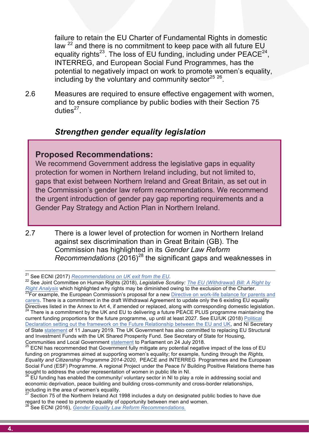failure to retain the EU Charter of Fundamental Rights in domestic<br>law <sup>22</sup> and there is no commitment to keep pace with all future EU equality rights and European Social Fund Programmes, has the<br>INTERREG, and European Social Fund Programmes, has the<br>potential to negatively impact on work to promote women's equality. failure to retain the EU Charter of Fundamental Rights in domestic equality rights<sup>23</sup>. The loss of EU funding, including under  $PEACE^{24}$ . INTERREG, and European Social Fund Programmes, has the potential to negatively impact on work to promote women's equality, including by the voluntary and community sector $^{25}$   $^{26}$ .

nunity sector<sup>-v zv</sup>.<br>ective engagement with women. **Action compliance by public bounds with their occupit 7**<br>7<br>. 2.6 Measures are required to ensure effective engagement with women, and to ensure compliance by public bodies with their Section 75 duties $^{27}$ .

# **including the curriculum of the curriculum of the curriculum of the contract contract contract contract contract contract contract contract contract contract contract contract contract contract contract contract contract**

#### **Proposed Recommendations:**  $\blacksquare$

**Proposed Recommendations:**<br>We recommend Government address the legislative gaps in equality protection for women in Northern Ireland including, but not limited to,<br>gaps that exist between Northern Ireland and Great Britain, as set out in<br>the Commission's gapdar law referse recommendations. We recommend protection for women in Northern Ireland including, but not limited to, the Commission's gender law reform recommendations. We recommend the urgent introduction of gender pay gap reporting requirements and a Gender Pay Strategy and Action Plan in Northern Ireland.

2.7 There is a lower level of protection for women in Northern Ireland against sex discrimination than in Great Britain (GB). The Commission has highlighted in its *Gender Law Reform Recommendations* (2016)<sup>28</sup> the significant gaps and weaknesses in

Directives listed in the Annex to Art 4, if amended or replaced, along with corresponding domestic legislation.<br><sup>24</sup> There is a commitment by the UK and EU to delivering a future PEACE PLUS programme maintaining the current funding proportions for the future programme, up until at least 2027. See EU/UK (2018) Political Declaration setting out the framework on the Future Relationship between the EU and UK, and NI Secretary

<sup>&</sup>lt;sup>29</sup>For example, the European Commission's proposal for a new <u>Directive on work-life balance for parents and </u><br><u>carers</u>. There is a commitment in the draft Withdrawal Agreement to update only the 6 existing EU equality <sup>21</sup> See ECNI (2017) *Recommendations on UK exit from the EU*.<br><sup>22</sup> See Joint Committee on Human Rights (2018), *Legislative Scrutiny: <u>The EU (Withdrawal) Bill: A Right by</u> Right Analysis* which highlighted why rights may be diminished owing to the exclusion of the Charter. <sup>23</sup>For example, the European Commission's proposal for a new Directive on work-life balance for parents and

of State <u>statement</u> of 11 January 2019. The UK Government has also committed to replacing EU Structural<br>and Investment Funds with the UK Shared Prosperity Fund. See Secretary of State for Housing and Investment Funds with the UK Shared Prosperity Fund. See Secretary of State for Housing,<br>Communities and Local Government statement to Parliament on 24 July 2018.

funding on programmes aimed at supporting women's equality; for example, funding through the *Rights,*<br>Fauality and Citizenship Programme 2014-2020, PEACE and INTERREG, Programmes and the European ECNI has recommended that Government fully mitigate any potential negative impact of the loss of EU *Equality and Citizenship Programme 2014-2020*, PEACE and INTERREG Programmes and the European Social Fund (ESF) Programme. A regional Project under the Peace IV Building Positive Relations theme has sought to address the under representation of women in public life in NI.

 $26$  EU funding has enabled the community/ voluntary sector in NI to play a role in addressing social and economic deprivation, peace building and building cross-community and cross-border relationships, including in the area of women's equality.

area of the Northern Ireland Act 1998 includes a duty on designated public bodies to have due regard to the need to promote equality of opportunity between men and women.

<sup>&</sup>lt;sup>28</sup> See ECNI (2016), *Gender Equality Law Reform Recommendations.*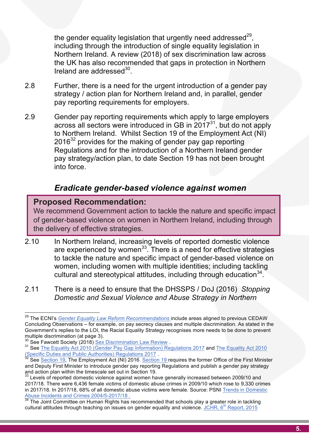the gender equality legislation that urgently need addressed<sup>29</sup>,<br>including through the introduction of single equality legislation in **careful care in the and careful careful care training and the UK has also recommended that gaps in protection in Northern Ireland are addressed**<sup>30</sup>. the gender equality legislation that urgently need addressed $^{29}$ . Northern Ireland. A review (2018) of sex discrimination law across the UK has also recommended that gaps in protection in Northern Ireland are addressed $^{30}$ .

- 2.8 Further, there is a need for the urgent introduction of a gender pay<br>strategy / action plan for Northern Ireland and, in parallel, gender 2.8 Further, there is a need for the urgent introduction of a gender pay strategy / action plan for Northern Ireland and, in parallel, gender pay reporting requirements for employers.
- pay reporting requirements for employers.<br>2.9 Gender pay reporting requirements which apply to large employers **including the curriculum of the curriculum** of the Employment Act (NI)<br>
2016<sup>32</sup> provides for the making of gender pay gan reporting Regulations and for the introduction of a Northern freiand gender<br>pay strategy/action plan, to date Section 19 has not been brought across all sectors were introduced in GB in  $2017^{31}$ , but do not apply 2016<sup>32</sup> provides for the making of gender pay gap reporting Regulations and for the introduction of a Northern Ireland gender into force.

#### **address the educational under-attainment of boys; and challenge gender**  *Eradicate gender-based violence against women*

#### Proposed Recommendation: **Proposed Recommendation:**

**ball Recommendation:**<br>Immend Government action to tackle the nature and specific impact We recommend Government action to tackle the nature and We recommend Government action to tackle the nature and specific impact of gender-based violence on women in Northern Ireland, including through the delivery of effective strategies. The delivery of effective strategies.

- 2.10 In Northern Ireland, increasing levels of reported domestic violence are experienced by women<sup>33</sup>. There is a need for effective strategies to tackle the nature and specific impact of gender-based violence on women, including women with multiple identities; including tackling cultural and stereotypical attitudes, including through education  $34$ .
- *Domestic and Sexual Violence and Abuse Strategy in Northern* 2.11 There is a need to ensure that the DHSSPS / DoJ (2016) *Stopping*

, Addressing General Center Imbalance Reaping the General Imbalance Reaping the STEM workforce. See STEM Business Group (2013)

a*w Reform Recommendations* include areas aligned to previous CEDAW<br>rample, on pay secrecy clauses and multiple discrimination. As stated in the Government's replies to the LOI, the Racial Equality Strategy recognises more needs to be done to prevent<br>multiple discrimination (at page 3) 29 The ECNI's *Gender Equality Law Reform Recommendations* include areas aligned to previous CEDAW Concluding Observations – for example, on pay secrecy clauses and multiple discrimination. As stated in the multiple discrimination (at page 3).<br>
<sup>30</sup> See Fawcett Society (2018) <u>Sex Discrimination Law Review</u>.

<sup>&</sup>lt;sup>30</sup> See Fawcett Society (2018) <u>Sex Discrimination Law Review</u> .<br><sup>31</sup> See <u>The Equality Act 2010 (Gender Pay Gap Information) Regulations 2017 and The Equality Act 2010</u> *Grassing Children Children and Children Children and Hublic Authorities Regulations 2017* 

and Deputy First Minister to introduce gender pay reporting Regulations and publish a gender pay strategy See Section 19, The Employment Act (NI) 2016. Section 19 requires the former Office of the First Minister and action plan within the timescale set out in Section 19.

<sup>&</sup>lt;sup>33</sup> Levels of reported domestic violence against women have generally increased between 2009/10 and 2017/18. There were 6,436 female victims of domestic abuse crimes in 2009/10 which rose to 9,330 crimes in 2017/18. In 2017/18, 68% of all domestic abuse victims were female. Source: PSNI Trends in Domestic<br>Abuse Incidents and Crimes 2004/5-2017/18.<br><sup>34</sup> The Joint Committee on Human Diskts has accured to the contract of the

The Joint Committee on Human Rights has recommended that schools play a greater role in tackling cultural attitudes through teaching on issues on gender equality and violence. JCHR, 6<sup>th</sup> Report, 2015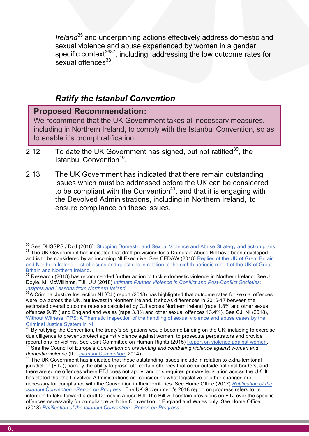*lreland<sup>35</sup>* and underpinning actions effectively address domestic and<br>sexual violence and abuse experienced by women in a gender spectific corrext and findulity addressing the low outcome rates for<br>sexual offences<sup>38</sup>. *Ireland*<sup>35</sup> and underpinning actions effectively address domestic and specific context<sup>3637</sup>, including addressing the low outcome rates for sexual offences<sup>38</sup>.

#### *Ratify the Istanbul Convention*

#### **Accommendation:**<br>and the differential conditions and stereotyping and stereotyping  $\overline{\phantom{a}}$ Proposed Recommendation: **Proposed Recommendation:**

including in Northern Ireland, to comply with the Istanbul Convention, so as **selled in the including in Northern**<br>to enable it's prompt ratification. We recommend that the UK Government takes all necessary We recommend that the UK Government takes all necessary measures, to enable it's prompt ratification. The enable it's prompt ratification.

- 2.12 To date the UK Government has signed, but not ratified<sup>39</sup>, the<br>Istanbul Convention<sup>40</sup>. Istanbul Convention<sup>40</sup>.
- 2.13 The UK Government has indicated that there remain outstanding<br>issues which must be addressed before the UK can be considered 2.13 The UK Government has indicated that there remain outstanding to be compliant with the Convention $4<sup>1</sup>$ , and that it is engaging with the Devolved Administrations, including in Northern Ireland, to ensure compliance on these issues.

<sup>&</sup>lt;sup>35</sup> See DHSSPS / DoJ (2016) Stopping Domestic and Sexual Violence and Abuse Strategy and action plans 36 The UK Government has indicated that draft provisions for a Domestic Abuse Bill have been developed and is to be considered by an incoming NI Executive. See CEDAW (2018) Replies of the UK of Great Britain and Northern Ireland. List of issues and questions in relation to the eighth periodic report of the UK of Great<br>Britain and Northern Ireland.

Britain and Northern Ireland.<br><sup>37</sup> Research (2018) has recommended further action to tackle domestic violence in Northern Ireland. See J. Doyle, M. McWilliams, TJI, UU (2018) *Intimate Partner Violence in Conflict and Post-Conflict Societies: Insights and Lessons from Northern Ireland.*<br><sup>38</sup>A Criminal Justice Inspection NI (CJI) report (2018) has highlighted that outcome rates for sexual offences

<sup>&</sup>lt;sup>ొ</sup>A Criminal Justice Inspection NI (CJI) report (2018) has highlighted that outcome rates for sexual offences<br>were low across the UK, but lowest in Northern Ireland. It shows differences in 2016-17 between the estimated overall outcome rates as calculated by CJI across Northern Ireland (rape 1.8% and other sexual<br>offences 9.8%) and England and Wales (rape 3.3% and other sexual offences 13.4%). See CJI NI (2018), estimated overall outcome rates as calculated by CJI across Northern Ireland (rape 1.8% and other sexual Without Witness: PPS: A Thematic Inspection of the handling of sexual violence and abuse cases by the Criminal Justice System in NI.

<sup>&</sup>lt;sup>39</sup> By ratifying the Convention, the treaty's obligations would become binding on the UK; including to exercise<br>due diligence to prevent/protect against violence against women, to prosecute perpetrators and provide <u>Criminal Justice System in NI</u>.<br><sup>39</sup> By ratifying the Convention, the treaty's obligations would become binding on the UK; including to exercise due diligence to prevent/protect against violence against women, to prosecute perpetrators and provide reparations for victims. See Joint Committee on Human Rights (2015) Report on violence against women.<br><sup>40</sup> See the Council of Europe's *Convention on preventing and combating violence against women and domestic violence (t* 

*domestic violence* (the <u>*Istanbul Convention\_*</u>2014).<br><sup>41</sup> The UK Government has indicated that these outstanding issues include in relation to extra-territorial jurisdiction (ETJ); namely the ability to prosecute certain offences that occur outside national borders, and there are some offences where ETJ does not apply, and this requires primary legislation across the UK. It has stated that the Devolved Administrations are considering what legislative or other changes are necessary for compliance with the Convention in their territories. See Home Office (2017) *Ratification of the Istanbul Convention –Report on Progress*. The UK Government's 2018 report on progress refers to its intention to take forward a draft Domestic Abuse Bill. The Bill will contain provisions on ETJ over the specific offences necessarily for compliance with the Convention in England and Wales only. See Home Office (2018) *Ratification of the Istanbul Convention –Report on Progress*.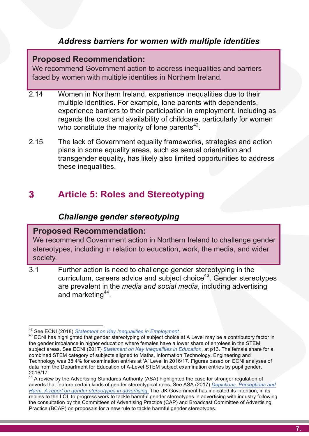# **1888 Market Market Market Market Market Market Market Market Market Market Market Market Market Market Market Market Market Market Market Market Market Market Market Market Market Market Market Market Market Market Market**

#### Proposed Recommendation: **Proposed Recommendation:**

**Proposed Recommendation:**<br>We recommend Government action to address inequalities and barriers barriers faced by continuent state by women with multiple identities in Northern Ireland  $\overline{\phantom{a}}$ faced by women with multiple identities in Northern Ireland.

- aced by women with mattiple identities in Northern Ireland.<br>2.14 Women in Northern Ireland, experience inequalities due to their mange identities. The example, fore parents with dependents,<br>experience barriers to their participation in employment, including as multiple identities. For example, lone parents with dependents, experience barriers to their participation in employment, including as regards the cost and availability of childcare, particularly for women who constitute the majority of lone parents $42$ .
- who constitute the majority or ione parents<br>2.15 The lack of Government equality frameworks, strategies and action plans in some equality areas, such as sexual orientation and<br>transgender equality, has likely also limited opportunities to address plans in some equality areas, such as sexual orientation and these inequalities.

## **based of transphared and other complete**. **3 Article 5: Roles and Stereotyping**

#### *Challenge gender stereotyping*

#### Proposed Recommendation: **Proposed Recommendation:**

We recommend Government action in Northern Ireland to We recommend Government action in Northern Ireland to challenge gender stereotypes, including in relation to education, work, the media, and wider society.

are understanderer represented in science, technology, engineering and mathematics (STEM) subjects in higher education 1999 subjects in higher education 1999 subjects in higher education 1999 subjects in higher education 3.1 Further action is need to challenge gender stereotyping in the curriculum, careers advice and subject choice<sup>43</sup>. Gender stereotypes are prevalent in the *media and social media*, including advertising and marketing  $44$ .

, p664. Leves on  $\mathcal{L}(\mathcal{L})$  and  $\mathcal{L}(\mathcal{L})$  of the 2014 of the 2014) of the 2012 of the 2012

<sup>42&</sup>lt;br><sup>42</sup> See ECNI (2018) <u>Statement on Key Inequalities in Employment</u> .<br><sup>43</sup> ECNI has highlighted that gender stereotyping of subject choice at A Level may be a contributory factor in the gender imbalance in higher education where females have a lower share of enrolees in the STEM<br>outlied space, See ECNI (2017), Statement on Key Inequalities in Education, at p12. The female abore for a combined STEM category of subjects aligned to Maths, Information Technology, Engineering and<br>Technology was 29.4% for examination antition of (A) Laughin 2016/17. Figures heard on FCNI analyzes of Institute for Conflict Research . *Institute for Confliction* Conflict Research . *If you* a data from the Department for Education of A-Level STEM subject examination entries by pupil gender, subject areas. See ECNI (2017) *Statement on Key Inequalities in Education*, at p13. The female share for a Technology was 38.4% for examination entries at 'A' Level in 2016/17. Figures based on ECNI analyses of 2016/17.<br><sup>44</sup> A review by the Advertising Standards Authority (ASA) highlighted the case for stronger regulation of

adverts that feature certain kinds of gender stereotypical roles. See ASA (2017) *Depictions, Perceptions and Harm, A report on gender stereotypes in advertising*. The UK Government has indicated its intention, in its replies to the LOI, to progress work to tackle harmful gender stereotypes in advertising with industry following the consultation by the Committees of Advertising Practice (CAP) and Broadcast Committee of Advertising Practice (BCAP) on proposals for a new rule to tackle harmful gender stereotypes.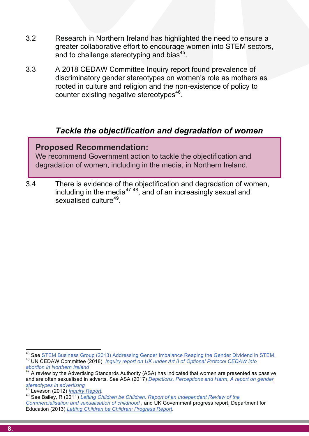- 3.2 Besearch in Northern Ireland has highlighted the need to ensure a<br>greater collaborative effort to encourage women into STEM sectors, 3.2 Research in Northern Ireland has highlighted the need to ensure a and to challenge stereotyping and bias $45$ .
	- and to challenge stereotyping and blas<br>3.3 A 2018 CEDAW Committee Inquiry report found prevalence of **u** women's role as mothers as<br>e non-existence of policy to<br>is<sup>46</sup>. discriminatory gender stereotypes on women's role as mothers as rooted in culture and religion and the non-existence of policy to counter existing negative stereotypes $46$ .

# *Tackle the objectification and degradation of women*

## Proposed Recommendation: **Proposed Recommendation:**

**Commend Government action to tackle the objectification and<br>We recommend Government action to tackle the objectification and<br>degradation of women, including in the media, in Northern Ireland** degradation of women, including in the media, in Northern Ireland.

**address the education of the education and degradation of women,**<br>3.4 There is evidence of the objectification and degradation of women, including in the media<sup>47</sup> 48, and of an increasingly sexual and sexualised culture<sup>49</sup>.

<sup>&</sup>lt;sup>45</sup> See STEM Business Group (2013) Addressing Gender Imbalance Reaping the Gender Dividend in STEM.<br><sup>46</sup> UN CEDAW Committee (2018) *Inquiry report on UK under Art 8 of Optional Protocol CEDAW into* 

*abortion in Northern Ireland*

A review by the Advertising Standards Authority (ASA) has indicated that women are presented as passive and are often sexualised in adverts. See ASA (2017) *Depictions, Perceptions and Harm, A report on gender stereotypes in advertising*

<sup>&</sup>lt;sup>49</sup> See Bailey, R (2011) *Letting Children be Children, Report of an Independent Review of the* 

*Commercialisation and sexualisation of childhood* , and UK Government progress report, Department for Education (2013) *Letting Children be Children: Progress Report*.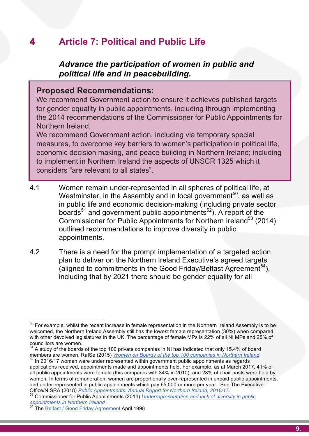#### **4** Article 7: Political and Public Life **4 Article 7: Political and Public Life**

#### **care advisors and advance the participation of women in public and and relational life and political life and in passetbuilding** *Advance the participation of women in public and political life and in peacebuilding.*

#### **under-alternative bullying.**<br> **under-attainment of bullying.** Proposed Recommendations: **Proposed Recommendations:**

for gender equality in public appointments, including through implementing<br>the 2014 recommendations of the Commissioner for Public Appointments for We recommend Government action to ensure it achieves We recommend Government action to ensure it achieves published targets the 2014 recommendations of the Commissioner for Public Appointments for the Commissioner for Public Appointments for Northern Ireland. Northern Ireland.

**includent fretand.**<br>
We recommend Government action, including via temporary special<br>
measures to excess the kontinuation to use of the activities in a little life. economic decision making, and peace building in Northern Ireland; including<br>to implement in Northern Ireland the aspects of UNSCR 1325 which it We recommend Government action, including via temporary We recommend Government action, including via temporary special measures, to overcome key barriers to women's participation in political life, economic decision making, and peace building in Northern Ireland; including considers "are relevant to all states". The UNSCR 1325 which it considers "are relevant to all states". *"are relevant to all states"*.

- **address the education of the education of the education of the education of the education of the education of the education of the education of the education of the education of the education of the education of the educa based in the Assembly and in local government**, as well as<br>in public life and economic decision-making (including private sector<br>bearde<sup>51</sup> and government public appointments<sup>52</sup>). A report of the Westminster, in the Assembly and in local government<sup>50</sup>, as well as boards<sup>51</sup> and government public appointments<sup>52</sup>). A report of the Commissioner for Public Appointments for Northern Ireland<sup>53</sup> (2014) outlined recommendations to improve diversity in public appointments.
	- 4.2 There is a need for the prompt implementation of a targeted action plan to deliver on the Northern Ireland Executive's agreed targets (aligned to commitments in the Good Friday/Belfast Agreement<sup>54</sup>), including that by 2021 there should be gender equality for all

\_\_\_\_\_\_\_\_\_\_\_\_\_\_\_\_\_\_\_\_\_\_\_\_\_\_\_\_\_\_\_\_\_\_\_<br><sup>50</sup> For example, whilst the recent increase in female representation in the Northern Ireland Assembly is to be welcomed, the Northern Ireland Assembly still has the lowest female representation (30%) when compared<br>with other develved logislatures in the LIK. The perceptage of female MBs is 23% of all NLMBs and 25% of councillors are women.<br><sup>51</sup> A study of the boards of the top 100 private companies in NI has indicated that only 15.4% of board with other devolved legislatures in the UK. The percentage of female MPs is 22% of all NI MPs and 25% of councillors are women.

members are women. RaISe (2015) Women on Boards of the top 100 companies in Northern Ireland.

In the conflict Research . *Institution* is the conflict Research and appointments held. For example, as at March 2017, 41% of <sup>52</sup> In 2016/17 women were under represented within government public appointments as regards all public appointments were female (this compares with 34% in 2010), and 28% of chair posts were held by women. In terms of remuneration, women are proportionally over-represented in unpaid public appointments, and under-represented in public appointments which pay £5,000 or more per year. See The Executive

Office/NISRA (2018) *Public Appointments: Annual Report for Northern Ireland, 2016/17*.<br><sup>53</sup> Commissioner for Public Appointments (2014) *Underrepresentation and lack of diversity in public appointments in Northern Ireland* . <sup>54</sup> The Belfast / Good Friday Agreement April 1998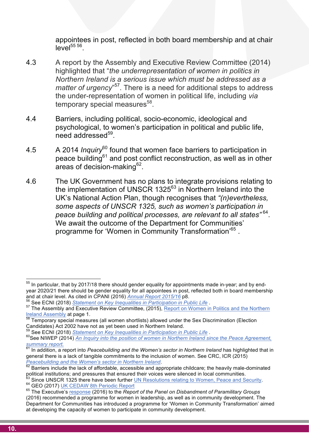appointees in post, reflected in both board membership and at chair<br>level<sup>55 56</sup>. appointees in post, reflected in both board membership and at chair  $level<sup>55 56</sup>$ 

- 4.3 A report by the Assembly and Executive Review Committee (2014)<br>highlighted that "*the underrepresentation of women in politics in vhich must be addressed as a*<br>d for additional steps to address<br>in political life, including via rary special measures<sup>\*\*</sup>.<br>stringliding political socio economic, ideological and 4.3 A report by the Assembly and Executive Review Committee (2014) highlighted that "*the underrepresentation of women in politics in Northern Ireland is a serious issue which must be addressed as a*  matter of urgency"<sup>57</sup>. There is a need for additional steps to address the under-representation of women in political life, including *via*  $tempor$ ary special measures $<sup>58</sup>$ .</sup>
	- sychological, to women s participation in political and public life,<br>eed addressed<sup>59</sup>. 4.4 Barriers, including political, socio-economic, ideological and psychological, to women's participation in political and public life,  $need$  addressed $59$ .
	- A 2014 *inquiry* found that women face barriers to participation in<br>peace building<sup>61</sup> and post conflict reconstruction, as well as in other 4.5 A 2014 *Inquiry*<sup>60</sup> found that women face barriers to participation in areas of decision-making<sup>62</sup>.
- 4.6 The UK Government has no plans to integrate provisions relating to<br>the implementation of UNSCR 1325<sup>63</sup> in Nerthern Ireland into the the implementation of UNSCR 1325<sup>63</sup> in Northern Ireland into the UK's National Action Plan, though recognises that *"(n)evertheless, some aspects of UNSCR 1325, such as women's participation in peace building and political processes, are relevant to all states"* 64. We await the outcome of the Department for Communities' programme for 'Women in Community Transformation'<sup>65</sup> .

and at chair level. As cited in CPANI (2016) Annual Report 2015/16 p8.<br><sup>56</sup> See ECNI (2018) Statement on Key Inequalities in Participation in Public Life.  $55$  In particular, that by 2017/18 there should gender equality for appointments made in-year; and by endyear 2020/21 there should be gender equality for all appointees in post, reflected both in board membership

and at chair level. As cited in CPANI (2016) *Annual Report 2015/16* p8.<br><sup>56</sup> See ECNI (2018) <u>Statement on Key Inequalities in Participation in Public Life</u> .<br><sup>57</sup> The Assembly and Executive Review Committee, (2015), <u>Rep</u> Ireland Assembly at page 1.<br><sup>58</sup> Temporary special measures (all women shortlists) allowed under the Sex Discrimination (Election

Candidates) Act 2002 have not as yet been used in Northern Ireland.

**See ECNI (2018) Statement on Key Inequalities in Participation in Public Life.** 

<sup>&</sup>lt;sup>60</sup> See NIWEP (2014) An Inquiry into the position of women in Northern Ireland since the Peace Agreement, *summary report.* <sup>61</sup> In addition, a report into *Peacebuilding and the Women's sector in Northern Ireland* has highlighted that in

general there is a lack of tangible commitments to the inclusion of women. See CRC, ICR (2015)

*Peacebuilding and the Women's sector in Northern Ireland*.<br><sup>62</sup> Barriers include the lack of affordable, accessible and appropriate childcare; the heavily male-dominated political institutions; and pressures that ensured their voices were silenced in local communities.

 $^{63}$  Since UNSCR 1325 there have been further UN Resolutions relating to Women, Peace and Security.<br> $^{64}$  GEO (2017) <u>UK CEDAW 8th Periodic Report</u><br> $^{64}$  The Executive's response (2016) to the *Report* of the Panel on

<sup>(2016)</sup> recommended a programme for women in leadership, as well as in community development. The Department for Communities has introduced a programme for 'Women in Community Transformation' aimed at developing the capacity of women to participate in community development.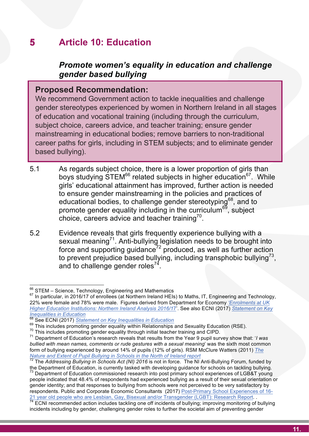#### **12. Ensure general manufacture of the curriculum of the curriculum of the curriculum of the curriculum of the curriculum of the curriculum of the curriculum of the curriculum of the curriculum of the curriculum of the cur 5 Article 10: Education**

## *Promote women's equality in education and challenge gender based bullying*

#### **under-attainment of boys:** Proposed Recommendation: Proposed Recommendation: **Proposed Recommendation:**

gender stereotypes experienced by women in Northern Ireland in all stages<br>of education and vocational training (including through the curriculum. mainstreaming in educational bodies; remove barriers to non-traditional<br>expect paths for girls, including in STEM subjects; and to eliminate gender **c** based bullying). We recommend Government action to tackle inequalities and We recommend Government action to tackle inequalities and challenge of education and vocational training (including through the curriculum, subject choice, careers advice, and teacher training; ensure gender career paths for girls, including in STEM subjects; and to eliminate gender  $p_{\text{min}}$  including in STEM subsets; and to eliminate  $p_{\text{min}}$ gengeng). based bullying).

- boys studying STEM<sup>66</sup> related subjects in higher education<sup>67</sup>. While<br>girls' educational attainment has improved, further action is needed **based of the state of the late of the procession of the educational bodies, to challenge gender stereotyping<sup>68</sup>, and to promote gender equality including in the curriculum<sup>69</sup>, subject** 5.1 As regards subject choice, there is a lower proportion of girls than girls' educational attainment has improved, further action is needed to ensure gender mainstreaming in the policies and practices of promote gender equality including in the curriculum<sup>69</sup>, subject choice, careers advice and teacher training<sup>70</sup>.
	- 5.2 Evidence reveals that girls frequently experience bullying with a sexual meaning<sup>71</sup>. Anti-bullying legislation needs to be brought into force and supporting guidance<sup>72</sup> produced, as well as further action to prevent prejudice based bullying, including transphobic bullying<sup>73</sup>. and to challenge gender roles<sup>74</sup>.

<sup>&</sup>lt;sup>66</sup> STEM – Science, Technology, Engineering and Mathematics<br><sup>67</sup> In particular, in 2016/17 of enrollees (at Northern Ireland HEIs) to Maths, IT, Engineering and Technology,<br>23% were female and 78% were male. Figures deriv Higher Education Institutions: Northern Ireland Analysis 2016/17'. See also ECNI (2017) Statement on Key 22% were female and 78% were male. Figures derived from Department for Economy *'Enrolments at UK Inequalities in Education*

<sup>&</sup>lt;sup>68</sup> See ECNI (2017) *Statement on Key Inequalities in Education*<br><sup>69</sup> This includes promoting gender equality within Relationships and Sexuality Education (RSE).<br><sup>70</sup> This includes promoting gender equality through initia *Letting Children be Children be Children be Children be Children, Reporting and CIPD.*<br><sup>70</sup> This includes promoting gender equality through initial teacher training and CIPD.<br><sup>71</sup> Department of Education's research reveal bullied with mean names, comments or rude gestures with a sexual meaning' was the sixth most common bullied with mean names, comments or rude gestures with a sexual meaning' was the sixth most common *Grasping the Nettle: The Experiences of General Children Children and Transgender Warden Children Schools in the North of Ireland report* form of bullying experienced by around 14% of pupils (12% of girls). RSM McClure Watters (2011) *The* 

the Department of Education, is currently tasked with developing guidance for schools on tackling bullying. <sup>72</sup> The *Addressing Bullying in Schools Act (NI) 2016* is not in force. The NI Anti-Bullying Forum, funded by

<sup>&</sup>lt;sup>73</sup> Department of Education commissioned research into post primary school experiences of LGB&T young people indicated that 48.4% of respondents had experienced bullying as a result of their sexual orientation or gender identity; and that responses to bullying from schools were not perceived to be very satisfactory by respondents. Public and Corporate Economic Consultants (2017) Post-Primary School Experiences of 16- 21 year old people who are Lesbian, Gay, Bisexual and/or Transgender (LGBT): Research Report.<br><sup>74</sup> ECNI recommended action includes tackling one off incidents of bullying; improving monitoring of bullying

incidents including by gender, challenging gender roles to further the societal aim of preventing gender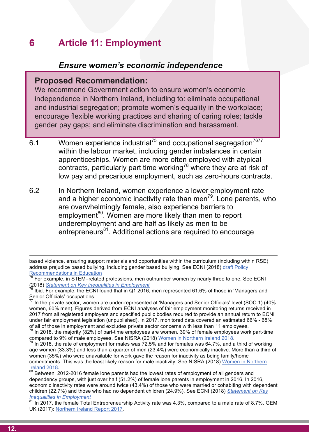#### **6** Article 11: Employment **6 Article 11: Employment**

# **careform and conomic independence** *Ensure women's economic independence*

#### Proposed Recommendation: **Proposed Recommendation:**

**ure women's economic** and industrial segregation; promote women's equality in the workplace;<br>encourage flexible working practices and sharing of caring roles; tackle We recommend Government action to ensure women's We recommend Government action to ensure women's economic independence in Northern Ireland, including to: eliminate occupational encourage flexible working practices and sharing of caring roles; tackle gender pay gaps; and eliminate discrimination and harassment. and eliminate discrimination and harassment.

- pay gapo, and climinate discrimination and naracoment.<br>Momen experience industrial<sup>75</sup> and eccunational ecorection<sup>7677</sup> within the labour market, including gender imbalances in certain<br>apprenticeships. Women are more often employed with atypical low pay and precarious employment, such as zero-hours contracts. 6.1 Women experience industrial<sup>75</sup> and occupational segregation<sup>7677</sup> within the labour market, including gender imbalances in certain contracts, particularly part time working<sup>78</sup> where they are at risk of
	- 6.2 In Northern Ireland, women experience a lower employment rate and a higher economic inactivity rate than men<sup>79</sup>. Lone parents, who are overwhelmingly female, also experience barriers to employment<sup>80</sup>. Women are more likely than men to report underemployment and are half as likely as men to be entrepreneurs<sup>81</sup>. Additional actions are required to encourage

based violence, ensuring support materials and opportunities within the curriculum (including within RSE) address prejudice based bullying, including gender based bullying. See ECNI (2018) draft Policy Recommendations in Education

<sup>&</sup>lt;sup>75</sup> For example, in STEM–related professions, men outnumber women by nearly three to one. See ECNI

Senior Officials' occupations.<br><sup>77</sup> In the private sector, women are under-represented at 'Managers and Senior Officials' level (SOC 1) (40% (2018) *Statement on Key Inequalities in Employment*<br><sup>76</sup> Ibid. For example, the ECNI found that in Q1 2016, men represented 61.6% of those in 'Managers and<br>Senior Officials' occupations.

women, 60% men). Figures derived from ECNI analyses of fair employment monitoring returns received in<br>2017 from all registered employers and apositiod public bodies required to provide an appular turn to ECNI 2017 from all registered employers and specified public bodies required to provide an annual return to ECNI under fair employment legislation (unpublished). In 2017, monitored data covered an estimated 66% - 68% of all of those in employment and excludes private sector concerns with less than 11 employees.

of all of those in employment and excludes private sector concerns with less than 11 employees.<br><sup>78</sup> In 2018, the majority (82%) of part-time employees are women. 39% of female employees work part-time<br>compared to 0% of ma compared to 9% of male employees. See NISRA (2018) Women in Northern Ireland 2018.<br><sup>79</sup> In 2018, the rate of employment for males was 72.5% and for females was 64.7%, and a third of working

women (35%) who were unavailable for work gave the reason for inactivity as being family/home<br>women (35%) who were unavailable for work gave the reason for inactivity as being family/home age women (33.3%) and less than a quarter of men (23.4%) were economically inactive. More than a third of commitments. This was the least likely reason for male inactivity. See NISRA (2018) Women in Northern

Ireland 2018.<br><sup>80</sup> Between 2012-2016 female lone parents had the lowest rates of employment of all genders and dependency groups, with just over half (51.2%) of female lone parents in employment in 2016. In 2016, economic inactivity rates were around twice (43.4%) of those who were married or cohabiting with dependent children (22.7%) and those who had no dependent children (24.9%). See ECNI (2018) *Statement on Key Inequalities in Employment*

<sup>&</sup>lt;sup>81</sup> In 2017, the female Total Entrepreneurship Activity rate was 4.3%, compared to a male rate of 8.7%. GEM UK (2017): Northern Ireland Report 2017.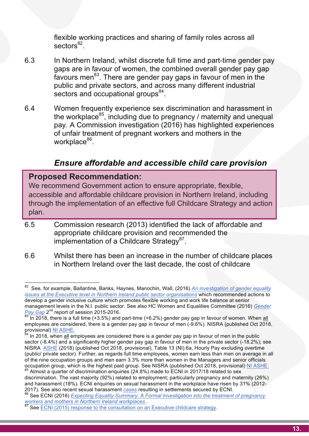flexible working practices and sharing of family roles across all sectors<sup>82</sup>. sectors<sup>82</sup>

- 6.3 In Northern Ireland, whilst discrete full time and part-time gender pay<br>gaps are in favour of women, the combined overall gender pay gap rayours ment to mere are genuer pay gaps in rayour or mention the<br>public and private sectors, and across many different industrial<br>sectors and occupational groups<sup>84</sup>. 6.3 In Northern Ireland, whilst discrete full time and part-time gender pay favours men<sup>83</sup>. There are gender pay gaps in favour of men in the public and private sectors, and across many different industrial sectors and occupational groups<sup>84</sup>.
	- 6.4 Women frequently experience sex discrimination and harassment in<br>the workplace<sup>85</sup>, including due to pregnancy / maternity and unequal pay: A commission investigation (2010) has inginighted experiences<br>of unfair treatment of pregnant workers and mothers in the the workplace<sup>85</sup>, including due to pregnancy / maternity and unequal pay. A Commission investigation (2016) has highlighted experiences workplace $86$ .

# *Carre affordable and accessible child care provision*

#### Proposed Recommendation: **Proposed Recommendation:**

**Proposed Recommendation:**<br>We recommend Government action to ensure appropriate, flexible, deced and the implementation of an effective full Childcare Strategy and action accessible and affordable childcare provision in Northern Ireland, including plan.

- 6.5 Commission research (2013) identified the lack of affordable and appropriate childcare provision and recommended the implementation of a Childcare Strategy<sup>87</sup>.
- 6.6 Whilst there has been an increase in the number of childcare places in Northern Ireland over the last decade, the cost of childcare

provisional) <u>NI ASHE.</u><br><sup>84</sup> In 2018, when <u>all</u> employees are considered there is a gender pay gap in favour of men in the public sector (-8.4%) and a significantly higher gender pay gap in favour of men in the private sector (-18.2%); see<br>NISRA\_ASHE (2018) (published Oct 2018, provisional). Table 13 (NI) 6a. Hourly Pay excluding overtime (public/ private sector). Further, as regards full time employees, women earn less than men on average in all<br>of the nine occupation groups and men earn 3.3% more than women in the Managers and senior officials occupation group, which is the highest paid group. See NISRA (published Oct 2018, provisional) NJ ASHE. NISRA ASHE (2018) (published Oct 2018, provisional), Table 13 (NI).6a, Hourly Pay excluding overtime of the nine occupation groups and men earn 3.3% more than women in the Managers and senior officials Almost a guarter of discrimination enguiries (24.8%) made to ECNI in 2017/18 related to sex

<sup>&</sup>lt;u>issues at the Executive level in Northern Ireland public sector organisations</u> which recommended actions to<br>develop a gender inclusive culture which promotes flexible working and work life balance at senior management levels in the N.I. public sector. See also HC Women and Equalities Committee (2016) <u>Gender</u><br>*Pav Gap* 2<sup>nd</sup> report of session 2015-2016. 82 See, for example, Ballantine, Banks, Haynes, Manochin, Wall, (2016) *An investigation of gender equality issues at the Executive level in Northern Ireland public sector organisations* which recommended actions to *Pay Gap* 2<sup>nd</sup> report of session 2015-2016.

<sup>&</sup>lt;sup>∞</sup> In 2018, there is a full time (+3.5%) and part-time (+6.2%) gender pay gap in favour of women. When <u>all</u><br>employees are considered, there is a gender pay gap in favour of men (-9.6%). NISRA (published Oct 2018, In 2018, there is a full time (+3.5%) and part-time (+6.2%) gender pay gap in favour of women. When all

discrimination. The vast majority (92%) related to employment; particularly pregnancy and maternity (26%) and harassment (18%). ECNI enquiries on sexual harassment in the workplace have risen by 31% (2012-<br>2017). See also recent sexual harassment cases resulting in settlements secured by ECNI.

<sup>&</sup>lt;sup>86</sup> See ECNI (2016) *Expecting Equality-Summary: A Formal Investigation into the treatment of pregnancy*<br>workers and mothers in Northern Ireland workplaces

**See ECNI (2015) response to the consultation on an Executive childcare strategy.**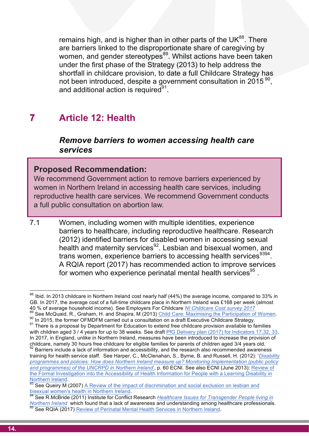remains high, and is higher than in other parts of the UK<sup>88</sup>. There<br>are barriers linked to the disproportionate share of caregiving by women, and gender stereotypes<sup>oo</sup>. Whilst actions have been taken<br>under the first phase of the Strategy (2013) to help address the<br>shortfall in childcare provision, to date a full Childcare Strategy has ernment consultation in 2015 <sup>90</sup>,<br>——————————————————— remains high, and is higher than in other parts of the  $UK^{88}$ . There women, and gender stereotypes<sup>89</sup>. Whilst actions have been taken under the first phase of the Strategy (2013) to help address the shortfall in childcare provision, to date a full Childcare Strategy has not been introduced, despite a government consultation in 2015<sup>90</sup>, and additional action is required $91$ .

#### **Action is required to tackle gender inequalities and stereotyping 7 Article 12: Health**

## **including through the curriculum, teacher training, subject choice,**  *Remove barriers to women accessing health care*  care care advices and proposed and proposed and proposed and proposed and proposed and proposed and proposed and <br>The policies of education and proposed and proposed and proposed and proposed and proposed and proposed and *services*

#### Proposed Recommendation: **Proposed Recommendation:**

**address the educations of the education**<br>We recommend Government action to remove barriers experienced by<br>women in Northern Ireland in accessing health care services including minicha Covernment action to remove barners experienced by women in Northern Ireland in accessing health care services, including<br>women in Northern Ireland in accessing health care services, including a full public consultation on abortion law. A full public consultation on abortion law. We recommend Government action to remove barriers experienced by reproductive health care services. We recommend Government conducts

7.1 Women, including women with multiple identities, experience barriers to healthcare, including reproductive healthcare. Research (2012) identified barriers for disabled women in accessing sexual health and maternity services $92$ . Lesbian and bisexual women, and trans women, experience barriers to accessing health services<sup>9394</sup>. A RQIA report (2017) has recommended action to improve services for women who experience perinatal mental health services<sup>95</sup>.

 $\frac{1}{100}$ <br><sup>88</sup> Ibid. In 2013 childcare in Northern Ireland cost nearly half (44%) the average income, compared to 33% in 40 % of average household income). See Employers For Childcare NI Childcare Cost survey 2017 with children aged 3/4 years for up to 38 weeks. See draft  $PfG$  Delivery plan (2017) for Indicators 17,32, 33. GB. In 2017, the average cost of a full-time childcare place in Northern Ireland was £168 per week (almost <sup>89</sup> See McQuaid, R., Graham, H. and Shapira, M (2013) Child Care: Maximising the Participation of Women.<br><sup>90</sup> In 2015, the former OFMDFM carried out a consultation on a draft Executive Childcare Strategy.<br><sup>91</sup> There is a In 2017, in England, unlike in Northern Ireland, measures have been introduced to increase the provision of childcare, namely 30 hours free childcare for eligible families for parents of children aged 3/4 years old.

training for health service staff. See Harper, C., McClenahan, S., Byrne, B. and Russell, H. (2012): *Disability* 92 Barriers include a lack of information and accessibility, and the research also recommended awareness *programmes and policies: How does Northern Ireland measure up? Monitoring Implementation (public policy and programmes) of the UNCRPD in Northern Ireland*', p. 60 ECNI. See also ECNI (June 2013): Review of the Formal Investigation into the Accessibility of Health Information for People with a Learning Disability in<br>Northern Ireland

 $\frac{93}{93}$  See Queiry M (2007) A Review of the impact of discrimination and social exclusion on lesbian and bisexual women's health in Northern Ireland.

bisexual *its increase realty in term in the manufulum* in Northern Ireland. 94 See R.McBride (2011) Institute for Conflict Research *Healthcare Issues for Transgender People living in Northern Ireland* which found that a lack of awareness and understanding among healthcare professionals.<br><sup>95</sup> See RQIA (2017) Review of Perinatal Mental Health Services in Northern Ireland.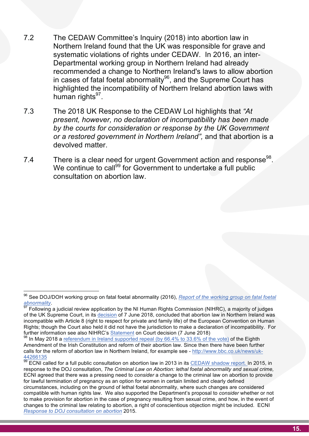- <sup>7.2</sup> The CEDAW Committee's Inquiry (2018) into abortion law in<br>Northern Ireland found that the UK was responsible for grave and **care advice training and training and training and training and and already**<br>Departmental working group in Northern Ireland had already<br>recommended a change to Northern Ireland's laws to allow abortion in cases of fatal foetal abnormality<sup>so</sup>, and the Supreme Court has<br>highlighted the incompatibility of Northern Ireland abortion laws with 7.2 The CEDAW Committee's Inquiry (2018) into abortion law in systematic violations of rights under CEDAW. In 2016, an inter-Departmental working group in Northern Ireland had already recommended a change to Northern Ireland's laws to allow abortion in cases of fatal foetal abnormality<sup>96</sup>, and the Supreme Court has human rights $97$ .
	- 7.3 The 2018 UK Response to the CEDAW LoI highlights that *"At*<br> *Act a respont boughts* is declaration of incompatibility has been made by the courts for consideration or response by the UK Government<br>or a restored government in Northern Ireland", and that abortion is a *present, however, no declaration of incompatibility has been made by the courts for consideration or response by the UK Government*  devolved matter.
	- 7.4 There is a clear need for urgent Government action and response<sup>98</sup>. **address the education on abortion law.**<br>The education of boys; and challenge generation of boys; and challenge generation of boys; and challenge generation of the education of the education of the education of the educati We continue to call<sup>99</sup> for Government to undertake a full public consultation on abortion law.

<sup>96</sup> See DOJ/DOH working group on fatal foetal abnormality (2016), Report of the working group on fatal foetal

abnormality.<br><sup>97</sup> Following a judicial review application by the NI Human Rights Commission (NIHRC), a majority of judges<br>1. It is a life of the second in the decision of 7 km a 2012, accordant that the strategies about th incompatible with Article 8 (right to respect for private and family life) of the European Convention on Human further information see also NIHRC's Statement on Court decision (7 June 2018) of the UK Supreme Court, in its decision of 7 June 2018, concluded that abortion law in Northern Ireland was Rights; though the Court also held it did not have the jurisdiction to make a declaration of incompatibility. For

If way 2010 a <u>Telefendmin in field of supported repeat (by 00.4% to 35.0% of the vote)</u> of the Lighth Amendment of the Irish Constitution and reform of their abortion law. Since then there have been further *Gails for the Feloriti of abortion law in Northern Heland, for example see - <u>Http://www.bbc.co.uk/Hews/uk-</u><br>44266135*  $98$  In May 2018 a referendum in Ireland supported repeal (by 66.4% to 33.6% of the vote) of the Eighth calls for the reform of abortion law in Northern Ireland, for example see - http://www.bbc.co.uk/news/uk-

<sup>44266135&</sup>lt;br><sup>99</sup> ECNI called for a full public consultation on abortion law in 2013 in its <u>CEDAW shadow report. I</u>n 2015, in<br>response to the DOJ consultation. *The Criminal Law on Abortion: lethal foetal abnormality and sexu* response to the DOJ consultation, *The Criminal Law on Abortion: lethal foetal abnormality and sexual crime,* ECNI agreed that there was a pressing need to *consider* a change to the criminal law on abortion to provide for lawful termination of pregnancy as an option for women in certain limited and clearly defined circumstances, including on the ground of lethal foetal abnormality, where such changes are considered compatible with human rights law. We also supported the Department's proposal to *consider* whether or not to make provision for abortion in the case of pregnancy resulting from sexual crime, and how, in the event of changes to the criminal law relating to abortion, a right of conscientious objection might be included. ECNI *Response to DOJ consultation on abortion* 2015.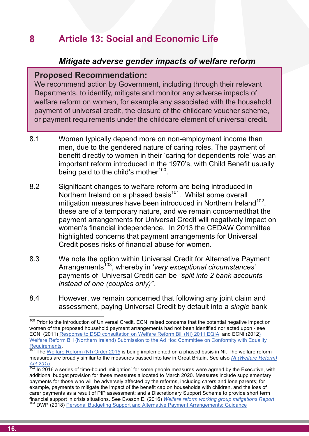#### **8** Article 13: Social and Economic Life **8 Article 13: Social and Economic Life**

# **careform** *Mitigate adverse gender impacts of welfare reform*

#### Proposed Recommendation: **Proposed Recommendation:**

rluding through their relevant<br>itor any adverse impacts of **Action is required to the steampton integrate and steamers inversal credit, the closure of the childcare voucher scheme,** We recommend action by Government, including through their We recommend action by Government, including through their relevant Departments, to identify, mitigate and monitor any adverse impacts of welfare reform on women, for example any associated with the household payment of universal credit, the closure of the childcare voucher scheme, or payment requirements under the childcare element of universal credit.

- **including the current curriculum of the curriculum of the curriculum of the curriculum of the curriculum of the** <br>8.1 Women typically depend more on non-employment income than benefit directly to women in their 'caring for dependents role' was an<br>important reform introduced in the 1970's, with Child Benefit usually men, due to the gendered nature of caring roles. The payment of benefit directly to women in their 'caring for dependents role' was an being paid to the child's mother<sup>100</sup>.
- being paid to the child stributer.<br>8.2 Significant changes to welfare reform are being introduced in Northern Ireland on a phased basis<sup>101</sup>. Whilst some overall mitigation measures have been introduced in Northern Ireland<sup>102</sup>, these are of a temporary nature, and we remain concernedthat the payment arrangements for Universal Credit will negatively impact on women's financial independence. In 2013 the CEDAW Committee highlighted concerns that payment arrangements for Universal Credit poses risks of financial abuse for women.
	- 8.3 We note the option within Universal Credit for Alternative Payment Arrangements<sup>103</sup>, whereby in 'very exceptional circumstances' payments of Universal Credit can be *"split into 2 bank accounts instead of one (couples only)".*
- 8.4 However, we remain concerned that following any joint claim and assessment, paying Universal Credit by default into a *single* bank

women or the proposed nousehold payment arrangements had not been identified nor acted upon - see<br>ECNI (2011) Response to DSD consultation on Welfare Reform Bill (NI) 2011 EQIA and ECNI (2012) <sup>100</sup> Prior to the introduction of Universal Credit, ECNI raised concerns that the potential negative impact on women of the proposed household payment arrangements had not been identified nor acted upon - see Welfare Reform Bill (Northern Ireland) Submission to the Ad Hoc Committee on Conformity with Equality<br>Requirements<br><sup>101</sup> The Welfare Reform (N) Order 0015 is the unit of the United States on the United States on the United

The <u>Welfare Reform (NT) Order 2015</u> is being implemented on a phased basis in NT. The welfare reform<br>measures are broadly similar to the measures passed into law in Great Britain. See also <u>NI (Welfare Reform)</u> The Welfare Reform (NI) Order 2015 is being implemented on a phased basis in NI. The welfare reform

Act 2015.<br>102 In 2016 a series of time-bound 'mitigation' for some people measures were agreed by the Executive, with<br>102 In 2016 a series of time-bound 'mitigation' for some people measures were agreed by the Executive, w additional budget provision for these measures allocated to March 2020. Measures include supplementary payments for those who will be adversely affected by the reforms, including carers and lone parents; for example, payments to mitigate the impact of the benefit cap on households with children, and the loss of carer payments as a result of PIP assessment; and a Discretionary Support Scheme to provide short term<br>financial support in crisis situations. See Evason E, (2016) Welfare reform working group mitigations Report

<sup>&</sup>lt;sup>103</sup> DWP (2018) Personal Budgeting Support and Alternative Payment Arrangements: Guidance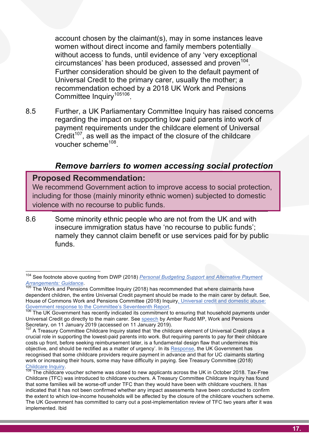account chosen by the claimant(s), may in some instances leave<br>women without direct income and family members potentially without access to funds, until evidence of any very exceptional<br>circumstances' has been produced, assessed and proven<sup>104</sup>.<br>Further consideration should be given to the default payment of Universal Credit to the primary carer, usually the mother; a<br>recommendation echoed by a 2018 UK Work and Pensions<br>Committee Inquiry<sup>105106</sup> account chosen by the claimant(s), may in some instances leave without access to funds, until evidence of any 'very exceptional circumstances' has been produced, assessed and proven<sup>104</sup>. Further consideration should be given to the default payment of Universal Credit to the primary carer, usually the mother; a recommendation echoed by a 2018 UK Work and Pensions Committee Inquiry<sup>105106</sup>.

8.5 Further, a UK Parliamentary Committee Inquiry has raised concerns<br> **Regarding the impact on supporting low paid parents into work of** payment requirements under the childcare element of Universal<br>Credit<sup>107</sup>, as well as the impact of the closure of the childcare regarding the impact on supporting low paid parents into work of payment requirements under the childcare element of Universal voucher scheme<sup>108</sup>

#### **careers advice and the policies and practices of educational bodies;**  *Remove barriers to women accessing social protection*

#### Proposed Recommendation: **Proposed Recommendation:**

**Proposed Recommendation:**<br>We recommend Government action to improve access to social protection. mcluding for those (maility fillionly ethnic women) subjected to domestic<br>violence with no recourse to public funds. We recommend Government action to improve access to social We recommend Government action to improve access to social protection, including for those (mainly minority ethnic women) subjected to domestic

> 8.6 Some minority ethnic people who are not from the UK and with insecure immigration status have 'no recourse to public funds'; namely they cannot claim benefit or use services paid for by public funds.

 <sup>104</sup> See footnote above quoting from DWP (2018) *Personal Budgeting Support and Alternative Payment Arrangements: Guidance.*<br><sup>105</sup> The Work and Pensions Committee Inquiry (2018) has recommended that where claimants have

dependent children, the entire Universal Credit payment should be made to the main carer by default. See,<br>House of Commons Work and Pensions Committee (2018) Inquiry. Universal credit and domestic abuse: House of Commons Work and Pensions Committee (2018) Inquiry, Universal credit and domestic abuse:<br>Government response to the Committee's Seventeenth Report.

Government response to the Committee's Seventeenth Report.<br><sup>106</sup> The UK Government has recently indicated its commitment to ensuring that household payments under Universal Credit go directly to the main carer. See <u>speech</u> by Amber Rudd MP, Work and Pensions<br>Secretary, on 11 January 2019 (accessed on 11 January 2019)

Secretary, on 11 January 2019 (accessed on 11 January 2019).<br><sup>107</sup> A Treasury Committee Childcare Inquiry stated that 'the childcare element of Universal Credit plays a<br>crucial role in supporting the lowest-paid parents in costs up front, before seeking reimbursement later, is a fundamental design flaw that undermines this<br>objective, and should be rectified as a matter of urgency'. In its Pesnonse, the LIK Government has recognised that some childcare providers require payment in advance and that for UC claimants starting<br>work or increasing their bours, some may boug difficulty in poving. See Treasury Committee (2018) crucial role in supporting the lowest-paid parents into work. But requiring parents to pay for their childcare objective, and should be rectified as a matter of urgency'. In its Response, the UK Government has work or increasing their hours, some may have difficulty in paying. See Treasury Committee (2018)<br>Childcare Inquiry.<br><sup>108</sup> The childcare veugher scheme was closed to new englisents across the UK in Ostober 2018. To

Childcare Inquiry.<br><sup>108</sup> The childcare voucher scheme was closed to new applicants across the UK in October 2018. Tax-Free Childcare (TFC) was introduced to childcare vouchers. A Treasury Committee Childcare Inquiry has found that some families will be worse-off under TFC than they would have been with childcare vouchers. It has indicated that it has not been confirmed whether any impact assessments have been conducted to confirm the extent to which low-income households will be affected by the closure of the childcare vouchers scheme. The UK Government has committed to carry out a post-implementation review of TFC two years after it was implemented. Ibid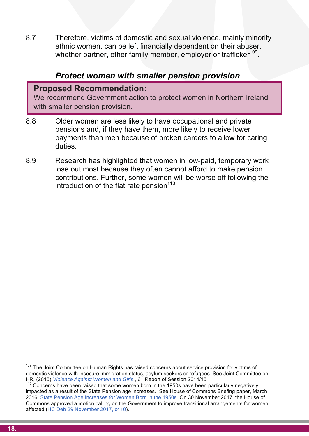8.7 Therefore, victims of domestic and sexual violence, mainly minority<br>ethnic women, can be left financially dependent on their abuser, **careers advice, teacher training and key policies; address the**  8.7 Therefore, victims of domestic and sexual violence, mainly minority whether partner, other family member, employer or trafficker<sup>109</sup>.

#### *Protect women with smaller pension provision*

#### Proposed Recommendation: **Proposed Recommendation:**

**under-attainment of boys; and the bullying of bullying. Action is required to tack the contract of the step of the step of the step of the step of the step of the step of the step of the step of the step of the step of the step of the step of the step of the step of the step o** We recommend Government action to protect women in We recommend Government action to protect women in Northern Ireland with smaller pension provision.

- pensions and, if they have them, more likely to receive lower<br>payments than men because of broken careers to allow for caring 8.8 Older women are less likely to have occupational and private pensions and, if they have them, more likely to receive lower duties.
- 8.9 Research has highlighted that women in low-paid, temporary work contributions. Further, some women will be worse off following the introduction of the flat rate pension<sup>110</sup>. lose out most because they often cannot afford to make pension introduction of the flat rate pension<sup>110</sup>.

 $109$  The Joint Committee on Human Rights has raised concerns about service provision for victims of domestic violence with insecure immigration status, asylum seekers or refugees. See Joint Committee on HR, (2015) Violence Against Women and Girls, 6<sup>th</sup> Report of Session 2014/15

<sup>&</sup>lt;sup>110</sup> Concerns have been raised that some women born in the 1950s have been particularly negatively impacted as a result of the State Pension age increases. See House of Commons Briefing paper, March 2016, State Pension Age Increases for Women Born in the 1950s. On 30 November 2017, the House of Commons approved a motion calling on the Government to improve transitional arrangements for women affected (HC Deb 29 November 2017, c410).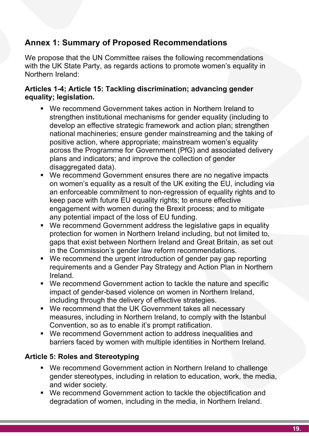# **EXECURIE MINISTER MINISTER MAINSTERN MINISTERS Annex 1: Summary of Proposed Recommendations**

We propose that the UN Committee raises the following recommendations<br>with the UK State Party, as regards actions to promote women's equality in We propose that the UN Committee raises the following recommendations Northern Ireland:

## **Articles 1-4; Article 15: Tackling discrimination; advancing gender equality; legislation.**

- We recommend Government takes action in Northern Ireland to<br>strengthen institutional mechanisms for gender equality (including to develop an enective strategic hamework and detion plan, strengthen<br>national machineries; ensure gender mainstreaming and the taking of<br>positive action, where appropriate: mainstream women's equality across the Programme for Government (PTG) and associated delivery<br>plans and indicators; and improve the collection of gender strengthen institutional mechanisms for gender equality (including to develop an effective strategic framework and action plan; strengthen national machineries; ensure gender mainstreaming and the taking of positive action, where appropriate; mainstream women's equality across the Programme for Government (PfG) and associated delivery disaggregated data).
- We recommend Government ensures there are no negative impacts<br>on women's equality as a result of the UK exiting the EU, including via keep pace with future EU equality rights; to ensure effective<br>engagement with women during the Brexit process; and to mitigate § We recommend Government ensures there are no negative impacts an enforceable commitment to non-regression of equality rights and to keep pace with future EU equality rights; to ensure effective any potential impact of the loss of EU funding.
	- We recommend Government address the legislative gaps in equality protection for women in Northern Ireland including, but not limited to, gaps that exist between Northern Ireland and Great Britain, as set out in the Commission's gender law reform recommendations.
	- We recommend the urgent introduction of gender pay gap reporting requirements and a Gender Pay Strategy and Action Plan in Northern Ireland.
- impact of genucr-based violence on women in Northem incland,<br>including through the delivery of effective strategies. ■ We recommend Government action to tackle the nature and specific impact of gender-based violence on women in Northern Ireland,
	- **•** We recommend that the UK Government takes all necessary measures, including in Northern Ireland, to comply with the Istanbul<br>Convention, so as to enable it's prompt ratification Convention, so as to enable it's prompt ratification.
- We recommend Government action to address inequalities and barriers faced by women with multiple identities in Northern Ireland.

#### **Crasping Transferiences of General Article 5: Roles and Stereotyping in Northern And Transferiences of General Article 5: Northern** *See McBride, R S. (2013)***. 5**

- We recommend Government action in Northern Ireland to challenge gender stereotypes, including in relation to education, work, the media, and wider society.
- We recommend Government action to tackle the objectification and degradation of women, including in the media, in Northern Ireland.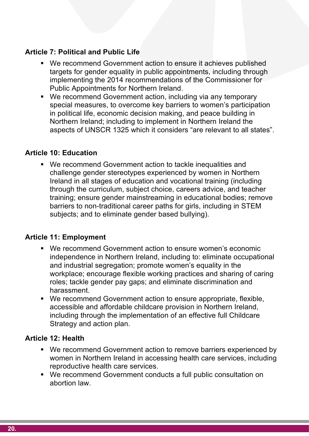## **: Ensure gender mainstreaming via the curriculum, EDUCATION Article 7: Political and Public Life**

- **care advices an extending and the** *Covernment* **action to ensure it achieves published<br>targets for gender equality in public appointments including through** ions of the Commissioner for<br>and.<br>poluding.via.any.temperary ■ We recommend Government action to ensure it achieves published targets for gender equality in public appointments, including through implementing the 2014 recommendations of the Commissioner for Public Appointments for Northern Ireland.
	- special measures, to overcome key barriers to women´s participation<br>in political life, economic decision making, and peace building in aspects of UNSCR 1325 which it considers "are relevant to all states".<br>. ■ We recommend Government action, including via any temporary special measures, to overcome key barriers to women's participation Northern Ireland; including to implement in Northern Ireland the

#### **Article 10: Education**

**care 10: Education<br>We recommend Government action to tackle inequalities and procommend Government action to tackle inequalities and address the educational under-attainment of boys; and challenge gender**  Ireland in all stages of education and vocational training (including ■ We recommend Government action to tackle inequalities and challenge gender stereotypes experienced by women in Northern through the curriculum, subject choice, careers advice, and teacher training; ensure gender mainstreaming in educational bodies; remove barriers to non-traditional career paths for girls, including in STEM subjects; and to eliminate gender based bullying).

#### **Article 11: Employment**

- We recommend Government action to ensure women's economic independence in Northern Ireland, including to: eliminate occupational and industrial segregation; promote women's equality in the workplace; encourage flexible working practices and sharing of caring roles; tackle gender pay gaps; and eliminate discrimination and harassment.
- We recommend Government action to ensure appropriate, flexible, accessible and affordable childcare provision in Northern Ireland,<br>in shall was the such the insulance at the set of see offective full Objidence. including through the implementation of an effective full Childcare Strategy and action plan.

#### *Letting Children be Children, Report of an Independent Review of the Commercialisation and sexualisation of childhood* Bailey, R (2011) 3 **Article 12: Health**

- wo recommend Government detter to remove barriere experienced by<br>women in Northern Ireland in accessing health care services, including ■ We recommend Government action to remove barriers experienced by reproductive health care services.
	- We recommend Government conducts a full public consultation on abortion law.

 $\mathcal{S} = \{ \mathcal{S} \mid \mathcal{S} \in \mathcal{S} \mid \mathcal{S} \neq \emptyset \}$  then the including through their states of their states of their states of their states of their states of their states of their states of their states of their states of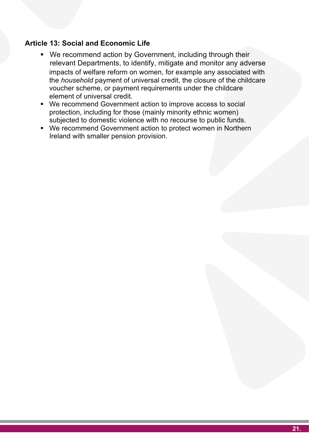#### **EXERCISE 2018 21: Ensure general manufacturer manufacturer manufacturer manufacturer manufacturer manufacturer manufacturer manufacturer manufacturer manufacturer manufacturer manufacturer manufacturer manufacturer manufa Article 13: Social and Economic Life**

- **care is a comment and action by Government, including unough their**<br>relevant Departments, to identify, mitigate and monitor any adverse<br>impacts of welfare reform on women, for example any associated with the *household* payment of universal credit, the closure of the childcare<br>voucher scheme, or payment requirements under the childcare<br>element of universal credit impacts of welfare reform on women, for example any associated with the *household* payment of universal credit, the closure of the childcare voucher scheme, or payment requirements under the childcare element of universal credit. ■ We recommend action by Government, including through their relevant Departments, to identify, mitigate and monitor any adverse
	- **Action is required to tackle gender inequalities and stereotyping**  protection, including for those (mainly minority ethnic women) We recommend Government action to improve access to social subjected to domestic violence with no recourse to public funds.
	- We recommend Government action to protect women in Northern<br>Ireland with smaller pension provision. Ireland with smaller pension provision.